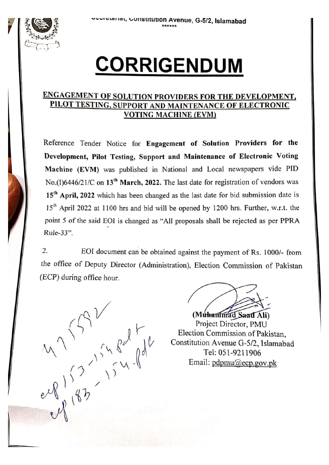

## **CORRIGENDUM**

## **ENGAGEMENT OF SOLUTION PROVIDERS FOR THE DEVELOPMENT,** PILOT TESTING, SUPPORT AND MAINTENANCE OF ELECTRONIC **VOTING MACHINE (EVM)**

Reference Tender Notice for Engagement of Solution Providers for the Development, Pilot Testing, Support and Maintenance of Electronic Voting Machine (EVM) was published in National and Local newspapers vide PID No.(I)6446/21/C on 13<sup>th</sup> March, 2022. The last date for registration of vendors was 15<sup>th</sup> April, 2022 which has been changed as the last date for bid submission date is 15<sup>th</sup> April 2022 at 1100 hrs and bid will be opened by 1200 hrs. Further, w.r.t. the point 5 of the said EOI is changed as "All proposals shall be rejected as per PPRA Rule-33".

2. EOI document can be obtained against the payment of Rs. 1000/- from the office of Deputy Director (Administration), Election Commission of Pakistan (ECP) during office hour.

 $M^1$  is in fall

(Muhammad Saad Ali) Project Director, PMU Election Commission of Pakistan, Constitution Avenue G-5/2, Islamabad Tel: 051-9211906 Email: pdpmu@ecp.gov.pk